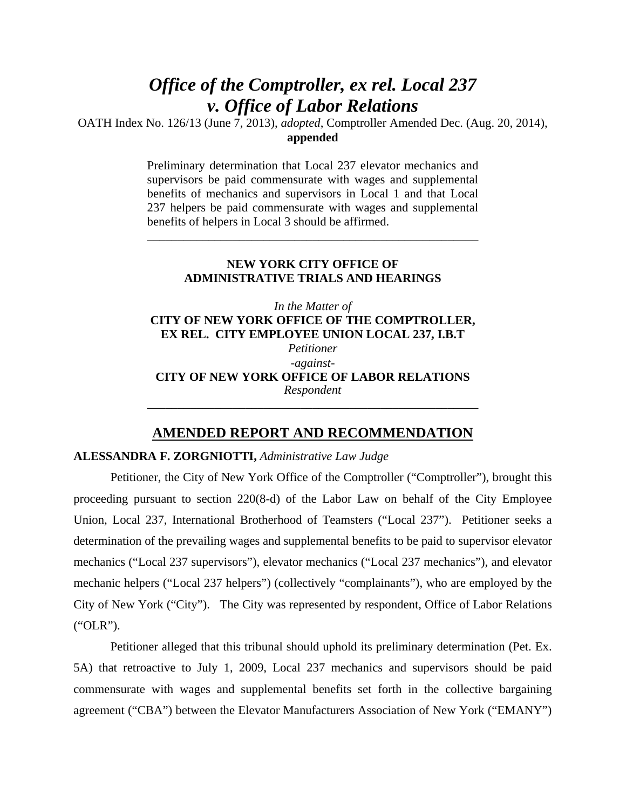# *Office of the Comptroller, ex rel. Local 237 v. Office of Labor Relations*

OATH Index No. 126/13 (June 7, 2013), *adopted*, Comptroller Amended Dec. (Aug. 20, 2014), **appended**

> Preliminary determination that Local 237 elevator mechanics and supervisors be paid commensurate with wages and supplemental benefits of mechanics and supervisors in Local 1 and that Local 237 helpers be paid commensurate with wages and supplemental benefits of helpers in Local 3 should be affirmed.

## **NEW YORK CITY OFFICE OF ADMINISTRATIVE TRIALS AND HEARINGS**

\_\_\_\_\_\_\_\_\_\_\_\_\_\_\_\_\_\_\_\_\_\_\_\_\_\_\_\_\_\_\_\_\_\_\_\_\_\_\_\_\_\_\_\_\_\_\_\_\_\_\_\_\_\_

*In the Matter of*  **CITY OF NEW YORK OFFICE OF THE COMPTROLLER, EX REL. CITY EMPLOYEE UNION LOCAL 237, I.B.T**  *Petitioner -against-***CITY OF NEW YORK OFFICE OF LABOR RELATIONS**  *Respondent* 

# **AMENDED REPORT AND RECOMMENDATION**

\_\_\_\_\_\_\_\_\_\_\_\_\_\_\_\_\_\_\_\_\_\_\_\_\_\_\_\_\_\_\_\_\_\_\_\_\_\_\_\_\_\_\_\_\_\_\_\_\_\_\_\_\_\_

#### **ALESSANDRA F. ZORGNIOTTI,** *Administrative Law Judge*

 Petitioner, the City of New York Office of the Comptroller ("Comptroller"), brought this proceeding pursuant to section 220(8-d) of the Labor Law on behalf of the City Employee Union, Local 237, International Brotherhood of Teamsters ("Local 237"). Petitioner seeks a determination of the prevailing wages and supplemental benefits to be paid to supervisor elevator mechanics ("Local 237 supervisors"), elevator mechanics ("Local 237 mechanics"), and elevator mechanic helpers ("Local 237 helpers") (collectively "complainants"), who are employed by the City of New York ("City"). The City was represented by respondent, Office of Labor Relations ("OLR").

Petitioner alleged that this tribunal should uphold its preliminary determination (Pet. Ex. 5A) that retroactive to July 1, 2009, Local 237 mechanics and supervisors should be paid commensurate with wages and supplemental benefits set forth in the collective bargaining agreement ("CBA") between the Elevator Manufacturers Association of New York ("EMANY")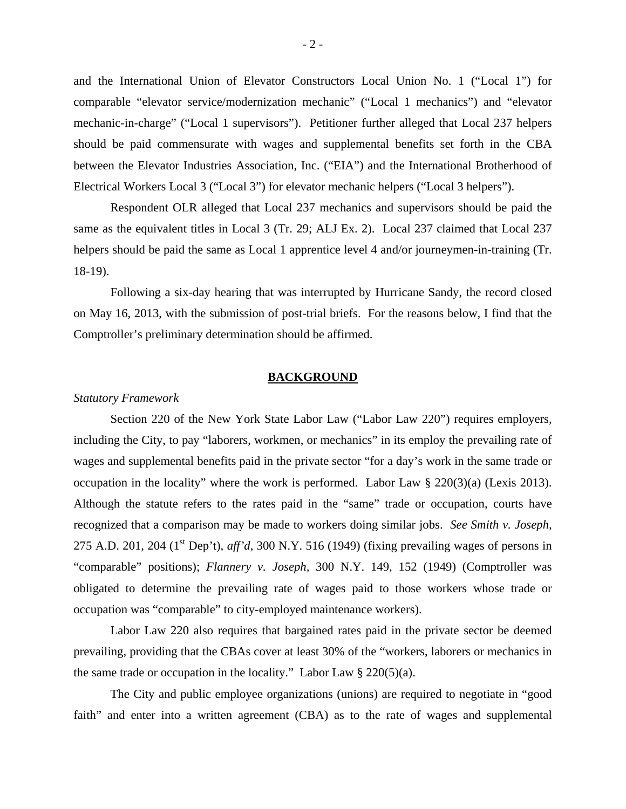and the International Union of Elevator Constructors Local Union No. 1 ("Local 1") for comparable "elevator service/modernization mechanic" ("Local 1 mechanics") and "elevator mechanic-in-charge" ("Local 1 supervisors"). Petitioner further alleged that Local 237 helpers should be paid commensurate with wages and supplemental benefits set forth in the CBA between the Elevator Industries Association, Inc. ("EIA") and the International Brotherhood of Electrical Workers Local 3 ("Local 3") for elevator mechanic helpers ("Local 3 helpers").

Respondent OLR alleged that Local 237 mechanics and supervisors should be paid the same as the equivalent titles in Local 3 (Tr. 29; ALJ Ex. 2). Local 237 claimed that Local 237 helpers should be paid the same as Local 1 apprentice level 4 and/or journeymen-in-training (Tr. 18-19).

Following a six-day hearing that was interrupted by Hurricane Sandy, the record closed on May 16, 2013, with the submission of post-trial briefs. For the reasons below, I find that the Comptroller's preliminary determination should be affirmed.

#### **BACKGROUND**

#### *Statutory Framework*

Section 220 of the New York State Labor Law ("Labor Law 220") requires employers, including the City, to pay "laborers, workmen, or mechanics" in its employ the prevailing rate of wages and supplemental benefits paid in the private sector "for a day's work in the same trade or occupation in the locality" where the work is performed. Labor Law § 220(3)(a) (Lexis 2013). Although the statute refers to the rates paid in the "same" trade or occupation, courts have recognized that a comparison may be made to workers doing similar jobs. *See Smith v. Joseph,*  275 A.D. 201, 204 (1<sup>st</sup> Dep't), *aff'd*, 300 N.Y. 516 (1949) (fixing prevailing wages of persons in "comparable" positions); *Flannery v. Joseph,* 300 N.Y. 149, 152 (1949) (Comptroller was obligated to determine the prevailing rate of wages paid to those workers whose trade or occupation was "comparable" to city-employed maintenance workers).

 Labor Law 220 also requires that bargained rates paid in the private sector be deemed prevailing, providing that the CBAs cover at least 30% of the "workers, laborers or mechanics in the same trade or occupation in the locality." Labor Law  $\S 220(5)(a)$ .

The City and public employee organizations (unions) are required to negotiate in "good faith" and enter into a written agreement (CBA) as to the rate of wages and supplemental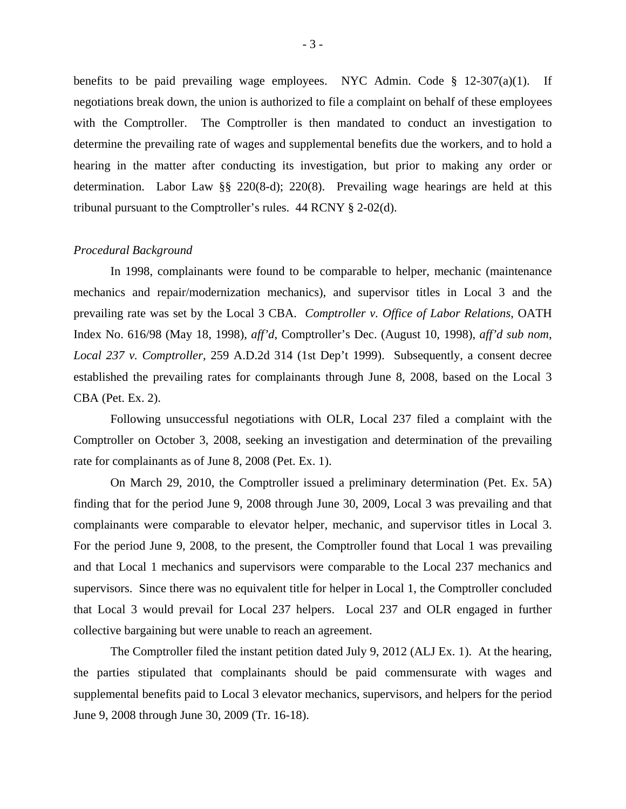benefits to be paid prevailing wage employees. NYC Admin. Code § 12-307(a)(1). If negotiations break down, the union is authorized to file a complaint on behalf of these employees with the Comptroller. The Comptroller is then mandated to conduct an investigation to determine the prevailing rate of wages and supplemental benefits due the workers, and to hold a hearing in the matter after conducting its investigation, but prior to making any order or determination. Labor Law §§ 220(8-d); 220(8). Prevailing wage hearings are held at this tribunal pursuant to the Comptroller's rules. 44 RCNY § 2-02(d).

#### *Procedural Background*

In 1998, complainants were found to be comparable to helper, mechanic (maintenance mechanics and repair/modernization mechanics), and supervisor titles in Local 3 and the prevailing rate was set by the Local 3 CBA. *Comptroller v. Office of Labor Relations*, OATH Index No. 616/98 (May 18, 1998), *aff'd*, Comptroller's Dec. (August 10, 1998), *aff'd sub nom*, *Local 237 v. Comptroller*, 259 A.D.2d 314 (1st Dep't 1999). Subsequently, a consent decree established the prevailing rates for complainants through June 8, 2008, based on the Local 3 CBA (Pet. Ex. 2).

Following unsuccessful negotiations with OLR, Local 237 filed a complaint with the Comptroller on October 3, 2008, seeking an investigation and determination of the prevailing rate for complainants as of June 8, 2008 (Pet. Ex. 1).

On March 29, 2010, the Comptroller issued a preliminary determination (Pet. Ex. 5A) finding that for the period June 9, 2008 through June 30, 2009, Local 3 was prevailing and that complainants were comparable to elevator helper, mechanic, and supervisor titles in Local 3. For the period June 9, 2008, to the present, the Comptroller found that Local 1 was prevailing and that Local 1 mechanics and supervisors were comparable to the Local 237 mechanics and supervisors. Since there was no equivalent title for helper in Local 1, the Comptroller concluded that Local 3 would prevail for Local 237 helpers. Local 237 and OLR engaged in further collective bargaining but were unable to reach an agreement.

The Comptroller filed the instant petition dated July 9, 2012 (ALJ Ex. 1). At the hearing, the parties stipulated that complainants should be paid commensurate with wages and supplemental benefits paid to Local 3 elevator mechanics, supervisors, and helpers for the period June 9, 2008 through June 30, 2009 (Tr. 16-18).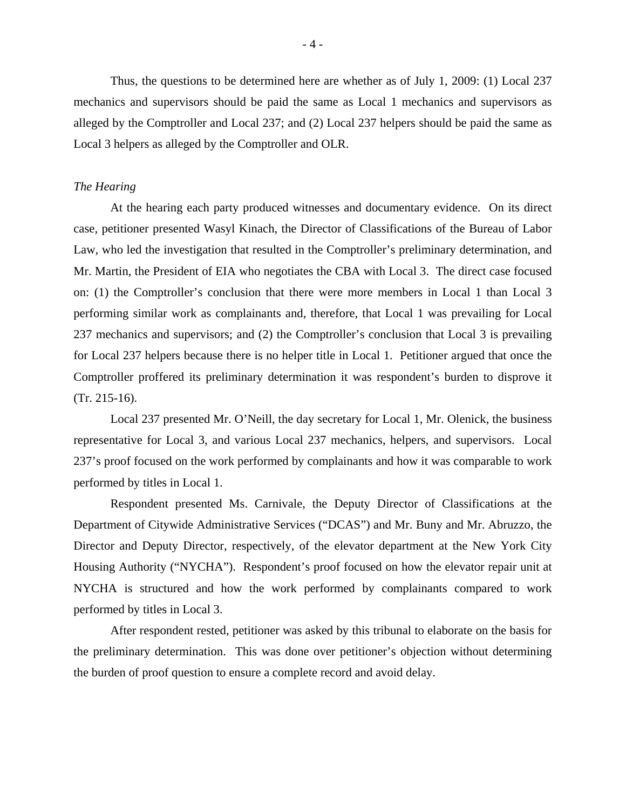Thus, the questions to be determined here are whether as of July 1, 2009: (1) Local 237 mechanics and supervisors should be paid the same as Local 1 mechanics and supervisors as alleged by the Comptroller and Local 237; and (2) Local 237 helpers should be paid the same as Local 3 helpers as alleged by the Comptroller and OLR.

#### *The Hearing*

 At the hearing each party produced witnesses and documentary evidence. On its direct case, petitioner presented Wasyl Kinach, the Director of Classifications of the Bureau of Labor Law, who led the investigation that resulted in the Comptroller's preliminary determination, and Mr. Martin, the President of EIA who negotiates the CBA with Local 3. The direct case focused on: (1) the Comptroller's conclusion that there were more members in Local 1 than Local 3 performing similar work as complainants and, therefore, that Local 1 was prevailing for Local 237 mechanics and supervisors; and (2) the Comptroller's conclusion that Local 3 is prevailing for Local 237 helpers because there is no helper title in Local 1. Petitioner argued that once the Comptroller proffered its preliminary determination it was respondent's burden to disprove it (Tr. 215-16).

Local 237 presented Mr. O'Neill, the day secretary for Local 1, Mr. Olenick, the business representative for Local 3, and various Local 237 mechanics, helpers, and supervisors. Local 237's proof focused on the work performed by complainants and how it was comparable to work performed by titles in Local 1.

Respondent presented Ms. Carnivale, the Deputy Director of Classifications at the Department of Citywide Administrative Services ("DCAS") and Mr. Buny and Mr. Abruzzo, the Director and Deputy Director, respectively, of the elevator department at the New York City Housing Authority ("NYCHA"). Respondent's proof focused on how the elevator repair unit at NYCHA is structured and how the work performed by complainants compared to work performed by titles in Local 3.

After respondent rested, petitioner was asked by this tribunal to elaborate on the basis for the preliminary determination. This was done over petitioner's objection without determining the burden of proof question to ensure a complete record and avoid delay.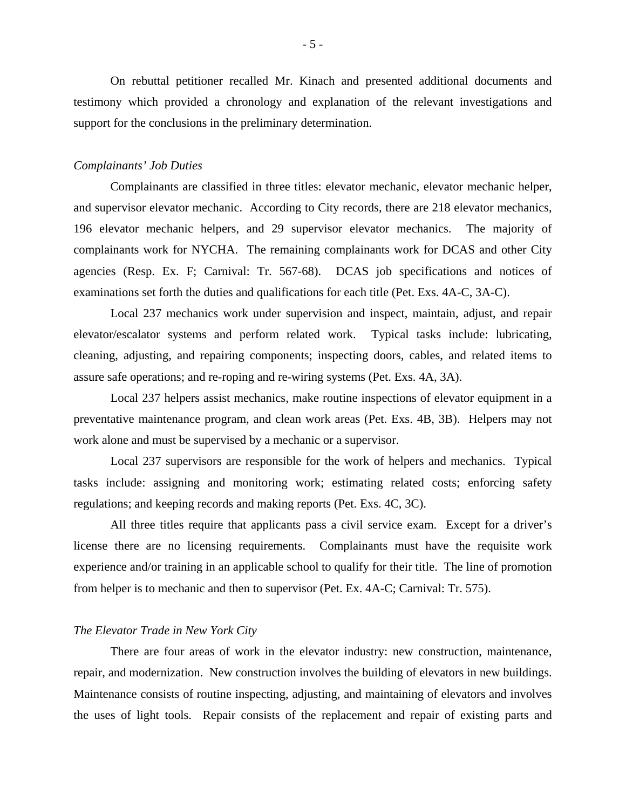On rebuttal petitioner recalled Mr. Kinach and presented additional documents and testimony which provided a chronology and explanation of the relevant investigations and support for the conclusions in the preliminary determination.

#### *Complainants' Job Duties*

Complainants are classified in three titles: elevator mechanic, elevator mechanic helper, and supervisor elevator mechanic. According to City records, there are 218 elevator mechanics, 196 elevator mechanic helpers, and 29 supervisor elevator mechanics. The majority of complainants work for NYCHA. The remaining complainants work for DCAS and other City agencies (Resp. Ex. F; Carnival: Tr. 567-68). DCAS job specifications and notices of examinations set forth the duties and qualifications for each title (Pet. Exs. 4A-C, 3A-C).

Local 237 mechanics work under supervision and inspect, maintain, adjust, and repair elevator/escalator systems and perform related work. Typical tasks include: lubricating, cleaning, adjusting, and repairing components; inspecting doors, cables, and related items to assure safe operations; and re-roping and re-wiring systems (Pet. Exs. 4A, 3A).

Local 237 helpers assist mechanics, make routine inspections of elevator equipment in a preventative maintenance program, and clean work areas (Pet. Exs. 4B, 3B). Helpers may not work alone and must be supervised by a mechanic or a supervisor.

Local 237 supervisors are responsible for the work of helpers and mechanics. Typical tasks include: assigning and monitoring work; estimating related costs; enforcing safety regulations; and keeping records and making reports (Pet. Exs. 4C, 3C).

All three titles require that applicants pass a civil service exam. Except for a driver's license there are no licensing requirements. Complainants must have the requisite work experience and/or training in an applicable school to qualify for their title. The line of promotion from helper is to mechanic and then to supervisor (Pet. Ex. 4A-C; Carnival: Tr. 575).

#### *The Elevator Trade in New York City*

There are four areas of work in the elevator industry: new construction, maintenance, repair, and modernization. New construction involves the building of elevators in new buildings. Maintenance consists of routine inspecting, adjusting, and maintaining of elevators and involves the uses of light tools. Repair consists of the replacement and repair of existing parts and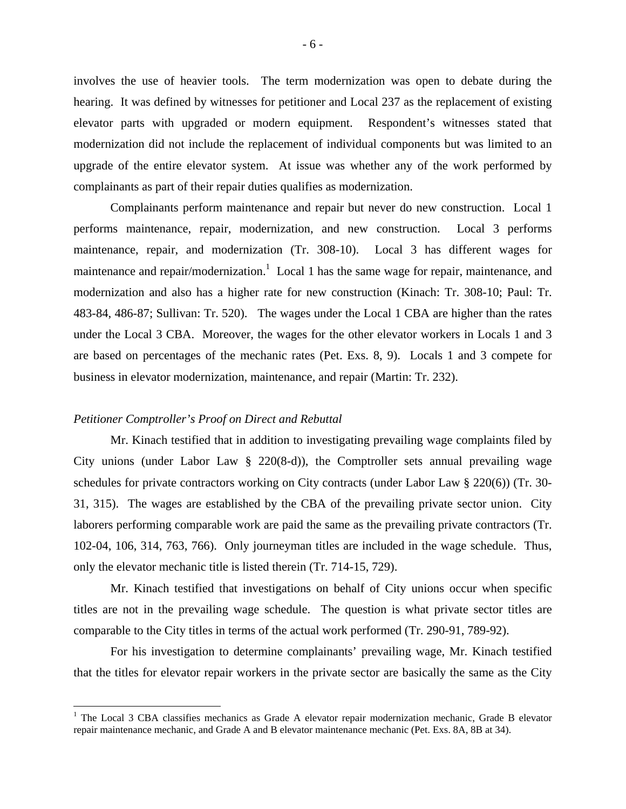involves the use of heavier tools. The term modernization was open to debate during the hearing. It was defined by witnesses for petitioner and Local 237 as the replacement of existing elevator parts with upgraded or modern equipment. Respondent's witnesses stated that modernization did not include the replacement of individual components but was limited to an upgrade of the entire elevator system. At issue was whether any of the work performed by complainants as part of their repair duties qualifies as modernization.

Complainants perform maintenance and repair but never do new construction. Local 1 performs maintenance, repair, modernization, and new construction. Local 3 performs maintenance, repair, and modernization (Tr. 308-10). Local 3 has different wages for maintenance and repair/modernization.<sup>1</sup> Local 1 has the same wage for repair, maintenance, and modernization and also has a higher rate for new construction (Kinach: Tr. 308-10; Paul: Tr. 483-84, 486-87; Sullivan: Tr. 520). The wages under the Local 1 CBA are higher than the rates under the Local 3 CBA. Moreover, the wages for the other elevator workers in Locals 1 and 3 are based on percentages of the mechanic rates (Pet. Exs. 8, 9). Locals 1 and 3 compete for business in elevator modernization, maintenance, and repair (Martin: Tr. 232).

#### *Petitioner Comptroller's Proof on Direct and Rebuttal*

 $\overline{a}$ 

Mr. Kinach testified that in addition to investigating prevailing wage complaints filed by City unions (under Labor Law  $\S$  220(8-d)), the Comptroller sets annual prevailing wage schedules for private contractors working on City contracts (under Labor Law § 220(6)) (Tr. 30- 31, 315). The wages are established by the CBA of the prevailing private sector union. City laborers performing comparable work are paid the same as the prevailing private contractors (Tr. 102-04, 106, 314, 763, 766). Only journeyman titles are included in the wage schedule. Thus, only the elevator mechanic title is listed therein (Tr. 714-15, 729).

Mr. Kinach testified that investigations on behalf of City unions occur when specific titles are not in the prevailing wage schedule. The question is what private sector titles are comparable to the City titles in terms of the actual work performed (Tr. 290-91, 789-92).

For his investigation to determine complainants' prevailing wage, Mr. Kinach testified that the titles for elevator repair workers in the private sector are basically the same as the City

<sup>&</sup>lt;sup>1</sup> The Local 3 CBA classifies mechanics as Grade A elevator repair modernization mechanic, Grade B elevator repair maintenance mechanic, and Grade A and B elevator maintenance mechanic (Pet. Exs. 8A, 8B at 34).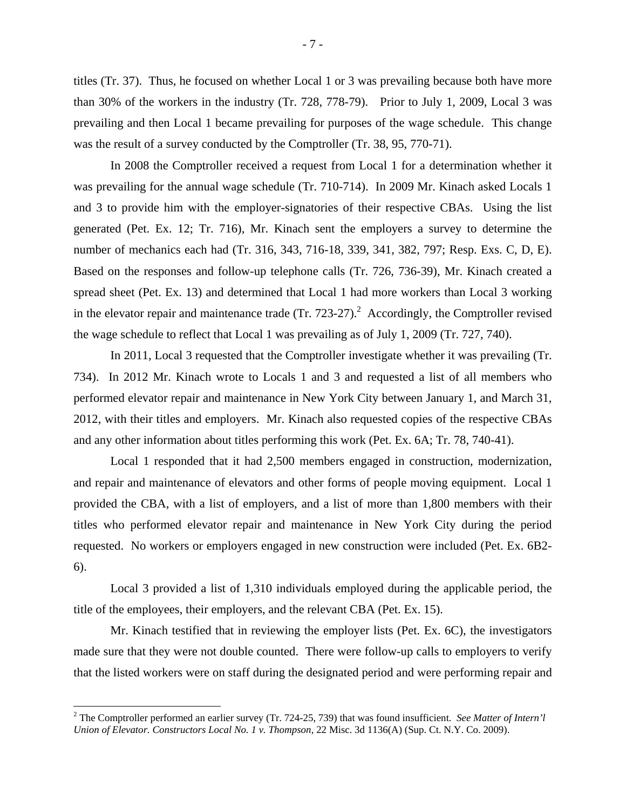titles (Tr. 37). Thus, he focused on whether Local 1 or 3 was prevailing because both have more than 30% of the workers in the industry (Tr. 728, 778-79). Prior to July 1, 2009, Local 3 was prevailing and then Local 1 became prevailing for purposes of the wage schedule. This change was the result of a survey conducted by the Comptroller (Tr. 38, 95, 770-71).

In 2008 the Comptroller received a request from Local 1 for a determination whether it was prevailing for the annual wage schedule (Tr. 710-714). In 2009 Mr. Kinach asked Locals 1 and 3 to provide him with the employer-signatories of their respective CBAs. Using the list generated (Pet. Ex. 12; Tr. 716), Mr. Kinach sent the employers a survey to determine the number of mechanics each had (Tr. 316, 343, 716-18, 339, 341, 382, 797; Resp. Exs. C, D, E). Based on the responses and follow-up telephone calls (Tr. 726, 736-39), Mr. Kinach created a spread sheet (Pet. Ex. 13) and determined that Local 1 had more workers than Local 3 working in the elevator repair and maintenance trade  $(Tr. 723-27)<sup>2</sup>$  Accordingly, the Comptroller revised the wage schedule to reflect that Local 1 was prevailing as of July 1, 2009 (Tr. 727, 740).

In 2011, Local 3 requested that the Comptroller investigate whether it was prevailing (Tr. 734). In 2012 Mr. Kinach wrote to Locals 1 and 3 and requested a list of all members who performed elevator repair and maintenance in New York City between January 1, and March 31, 2012, with their titles and employers. Mr. Kinach also requested copies of the respective CBAs and any other information about titles performing this work (Pet. Ex. 6A; Tr. 78, 740-41).

Local 1 responded that it had 2,500 members engaged in construction, modernization, and repair and maintenance of elevators and other forms of people moving equipment. Local 1 provided the CBA, with a list of employers, and a list of more than 1,800 members with their titles who performed elevator repair and maintenance in New York City during the period requested. No workers or employers engaged in new construction were included (Pet. Ex. 6B2- 6).

Local 3 provided a list of 1,310 individuals employed during the applicable period, the title of the employees, their employers, and the relevant CBA (Pet. Ex. 15).

Mr. Kinach testified that in reviewing the employer lists (Pet. Ex. 6C), the investigators made sure that they were not double counted. There were follow-up calls to employers to verify that the listed workers were on staff during the designated period and were performing repair and

1

<sup>2</sup> The Comptroller performed an earlier survey (Tr. 724-25, 739) that was found insufficient. *See Matter of Intern'l Union of Elevator. Constructors Local No. 1 v. Thompson*, 22 Misc. 3d 1136(A) (Sup. Ct. N.Y. Co. 2009).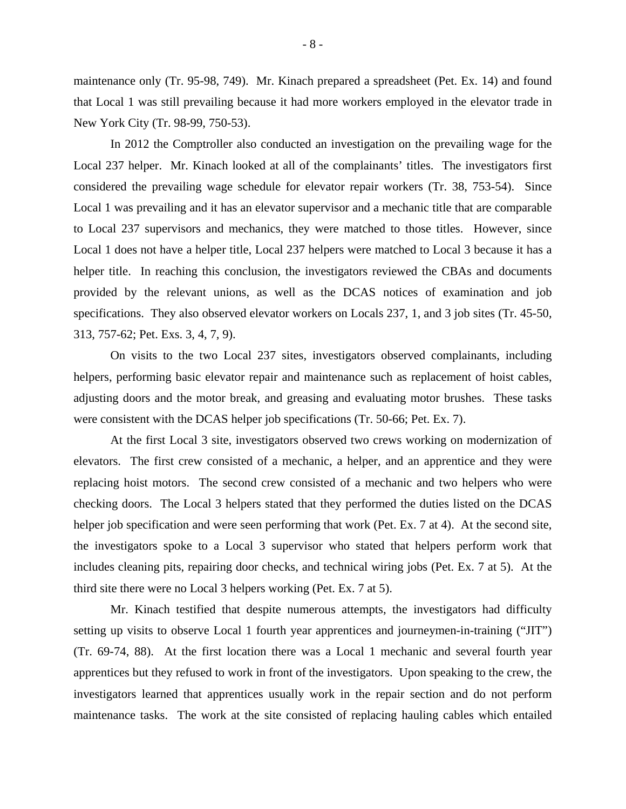maintenance only (Tr. 95-98, 749). Mr. Kinach prepared a spreadsheet (Pet. Ex. 14) and found that Local 1 was still prevailing because it had more workers employed in the elevator trade in New York City (Tr. 98-99, 750-53).

In 2012 the Comptroller also conducted an investigation on the prevailing wage for the Local 237 helper. Mr. Kinach looked at all of the complainants' titles. The investigators first considered the prevailing wage schedule for elevator repair workers (Tr. 38, 753-54). Since Local 1 was prevailing and it has an elevator supervisor and a mechanic title that are comparable to Local 237 supervisors and mechanics, they were matched to those titles. However, since Local 1 does not have a helper title, Local 237 helpers were matched to Local 3 because it has a helper title. In reaching this conclusion, the investigators reviewed the CBAs and documents provided by the relevant unions, as well as the DCAS notices of examination and job specifications. They also observed elevator workers on Locals 237, 1, and 3 job sites (Tr. 45-50, 313, 757-62; Pet. Exs. 3, 4, 7, 9).

On visits to the two Local 237 sites, investigators observed complainants, including helpers, performing basic elevator repair and maintenance such as replacement of hoist cables, adjusting doors and the motor break, and greasing and evaluating motor brushes. These tasks were consistent with the DCAS helper job specifications (Tr. 50-66; Pet. Ex. 7).

At the first Local 3 site, investigators observed two crews working on modernization of elevators. The first crew consisted of a mechanic, a helper, and an apprentice and they were replacing hoist motors. The second crew consisted of a mechanic and two helpers who were checking doors. The Local 3 helpers stated that they performed the duties listed on the DCAS helper job specification and were seen performing that work (Pet. Ex. 7 at 4). At the second site, the investigators spoke to a Local 3 supervisor who stated that helpers perform work that includes cleaning pits, repairing door checks, and technical wiring jobs (Pet. Ex. 7 at 5). At the third site there were no Local 3 helpers working (Pet. Ex. 7 at 5).

Mr. Kinach testified that despite numerous attempts, the investigators had difficulty setting up visits to observe Local 1 fourth year apprentices and journeymen-in-training ("JIT") (Tr. 69-74, 88). At the first location there was a Local 1 mechanic and several fourth year apprentices but they refused to work in front of the investigators. Upon speaking to the crew, the investigators learned that apprentices usually work in the repair section and do not perform maintenance tasks. The work at the site consisted of replacing hauling cables which entailed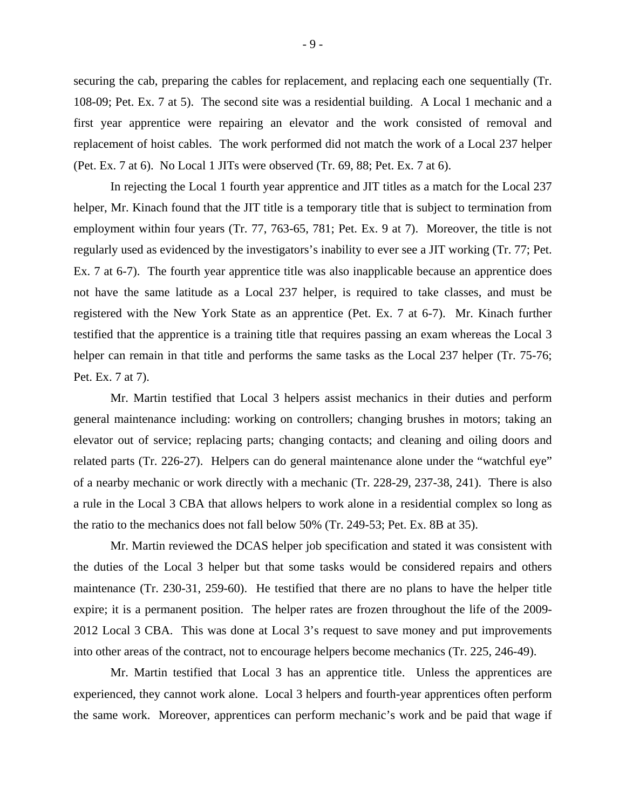securing the cab, preparing the cables for replacement, and replacing each one sequentially (Tr. 108-09; Pet. Ex. 7 at 5). The second site was a residential building. A Local 1 mechanic and a first year apprentice were repairing an elevator and the work consisted of removal and replacement of hoist cables. The work performed did not match the work of a Local 237 helper (Pet. Ex. 7 at 6). No Local 1 JITs were observed (Tr. 69, 88; Pet. Ex. 7 at 6).

In rejecting the Local 1 fourth year apprentice and JIT titles as a match for the Local 237 helper, Mr. Kinach found that the JIT title is a temporary title that is subject to termination from employment within four years (Tr. 77, 763-65, 781; Pet. Ex. 9 at 7). Moreover, the title is not regularly used as evidenced by the investigators's inability to ever see a JIT working (Tr. 77; Pet. Ex. 7 at 6-7). The fourth year apprentice title was also inapplicable because an apprentice does not have the same latitude as a Local 237 helper, is required to take classes, and must be registered with the New York State as an apprentice (Pet. Ex. 7 at 6-7). Mr. Kinach further testified that the apprentice is a training title that requires passing an exam whereas the Local 3 helper can remain in that title and performs the same tasks as the Local 237 helper (Tr. 75-76; Pet. Ex. 7 at 7).

Mr. Martin testified that Local 3 helpers assist mechanics in their duties and perform general maintenance including: working on controllers; changing brushes in motors; taking an elevator out of service; replacing parts; changing contacts; and cleaning and oiling doors and related parts (Tr. 226-27). Helpers can do general maintenance alone under the "watchful eye" of a nearby mechanic or work directly with a mechanic (Tr. 228-29, 237-38, 241). There is also a rule in the Local 3 CBA that allows helpers to work alone in a residential complex so long as the ratio to the mechanics does not fall below 50% (Tr. 249-53; Pet. Ex. 8B at 35).

Mr. Martin reviewed the DCAS helper job specification and stated it was consistent with the duties of the Local 3 helper but that some tasks would be considered repairs and others maintenance (Tr. 230-31, 259-60). He testified that there are no plans to have the helper title expire; it is a permanent position. The helper rates are frozen throughout the life of the 2009- 2012 Local 3 CBA. This was done at Local 3's request to save money and put improvements into other areas of the contract, not to encourage helpers become mechanics (Tr. 225, 246-49).

Mr. Martin testified that Local 3 has an apprentice title. Unless the apprentices are experienced, they cannot work alone. Local 3 helpers and fourth-year apprentices often perform the same work. Moreover, apprentices can perform mechanic's work and be paid that wage if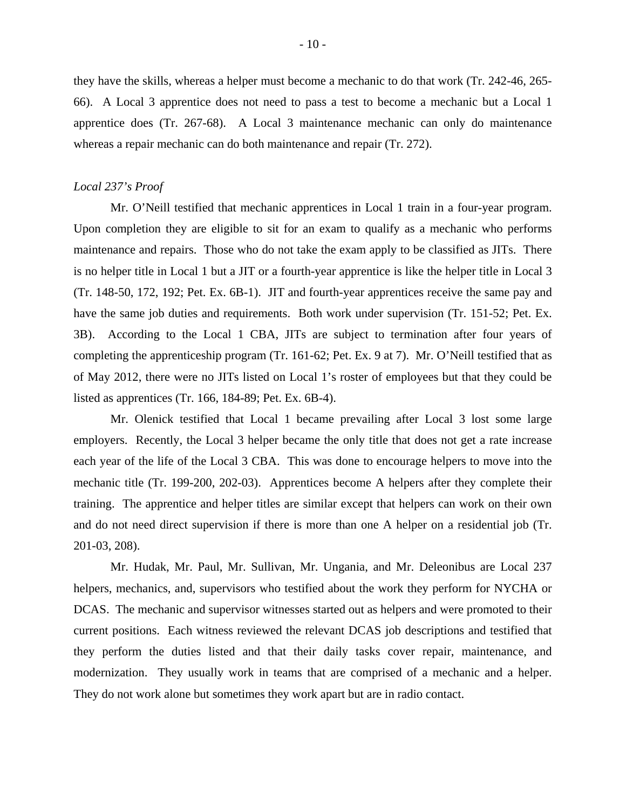they have the skills, whereas a helper must become a mechanic to do that work (Tr. 242-46, 265- 66). A Local 3 apprentice does not need to pass a test to become a mechanic but a Local 1 apprentice does (Tr. 267-68). A Local 3 maintenance mechanic can only do maintenance whereas a repair mechanic can do both maintenance and repair (Tr. 272).

#### *Local 237's Proof*

Mr. O'Neill testified that mechanic apprentices in Local 1 train in a four-year program. Upon completion they are eligible to sit for an exam to qualify as a mechanic who performs maintenance and repairs. Those who do not take the exam apply to be classified as JITs. There is no helper title in Local 1 but a JIT or a fourth-year apprentice is like the helper title in Local 3 (Tr. 148-50, 172, 192; Pet. Ex. 6B-1). JIT and fourth-year apprentices receive the same pay and have the same job duties and requirements. Both work under supervision (Tr. 151-52; Pet. Ex. 3B). According to the Local 1 CBA, JITs are subject to termination after four years of completing the apprenticeship program (Tr. 161-62; Pet. Ex. 9 at 7). Mr. O'Neill testified that as of May 2012, there were no JITs listed on Local 1's roster of employees but that they could be listed as apprentices (Tr. 166, 184-89; Pet. Ex. 6B-4).

Mr. Olenick testified that Local 1 became prevailing after Local 3 lost some large employers. Recently, the Local 3 helper became the only title that does not get a rate increase each year of the life of the Local 3 CBA. This was done to encourage helpers to move into the mechanic title (Tr. 199-200, 202-03). Apprentices become A helpers after they complete their training. The apprentice and helper titles are similar except that helpers can work on their own and do not need direct supervision if there is more than one A helper on a residential job (Tr. 201-03, 208).

Mr. Hudak, Mr. Paul, Mr. Sullivan, Mr. Ungania, and Mr. Deleonibus are Local 237 helpers, mechanics, and, supervisors who testified about the work they perform for NYCHA or DCAS. The mechanic and supervisor witnesses started out as helpers and were promoted to their current positions. Each witness reviewed the relevant DCAS job descriptions and testified that they perform the duties listed and that their daily tasks cover repair, maintenance, and modernization. They usually work in teams that are comprised of a mechanic and a helper. They do not work alone but sometimes they work apart but are in radio contact.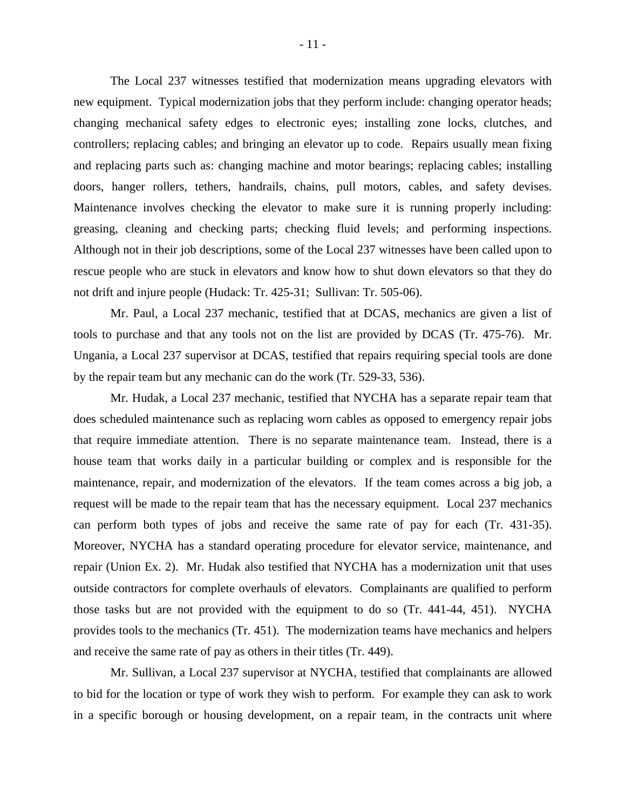The Local 237 witnesses testified that modernization means upgrading elevators with new equipment. Typical modernization jobs that they perform include: changing operator heads; changing mechanical safety edges to electronic eyes; installing zone locks, clutches, and controllers; replacing cables; and bringing an elevator up to code. Repairs usually mean fixing and replacing parts such as: changing machine and motor bearings; replacing cables; installing doors, hanger rollers, tethers, handrails, chains, pull motors, cables, and safety devises. Maintenance involves checking the elevator to make sure it is running properly including: greasing, cleaning and checking parts; checking fluid levels; and performing inspections. Although not in their job descriptions, some of the Local 237 witnesses have been called upon to rescue people who are stuck in elevators and know how to shut down elevators so that they do not drift and injure people (Hudack: Tr. 425-31; Sullivan: Tr. 505-06).

Mr. Paul, a Local 237 mechanic, testified that at DCAS, mechanics are given a list of tools to purchase and that any tools not on the list are provided by DCAS (Tr. 475-76). Mr. Ungania, a Local 237 supervisor at DCAS, testified that repairs requiring special tools are done by the repair team but any mechanic can do the work (Tr. 529-33, 536).

Mr. Hudak, a Local 237 mechanic, testified that NYCHA has a separate repair team that does scheduled maintenance such as replacing worn cables as opposed to emergency repair jobs that require immediate attention. There is no separate maintenance team. Instead, there is a house team that works daily in a particular building or complex and is responsible for the maintenance, repair, and modernization of the elevators. If the team comes across a big job, a request will be made to the repair team that has the necessary equipment. Local 237 mechanics can perform both types of jobs and receive the same rate of pay for each (Tr. 431-35). Moreover, NYCHA has a standard operating procedure for elevator service, maintenance, and repair (Union Ex. 2). Mr. Hudak also testified that NYCHA has a modernization unit that uses outside contractors for complete overhauls of elevators. Complainants are qualified to perform those tasks but are not provided with the equipment to do so (Tr. 441-44, 451). NYCHA provides tools to the mechanics (Tr. 451). The modernization teams have mechanics and helpers and receive the same rate of pay as others in their titles (Tr. 449).

Mr. Sullivan, a Local 237 supervisor at NYCHA, testified that complainants are allowed to bid for the location or type of work they wish to perform. For example they can ask to work in a specific borough or housing development, on a repair team, in the contracts unit where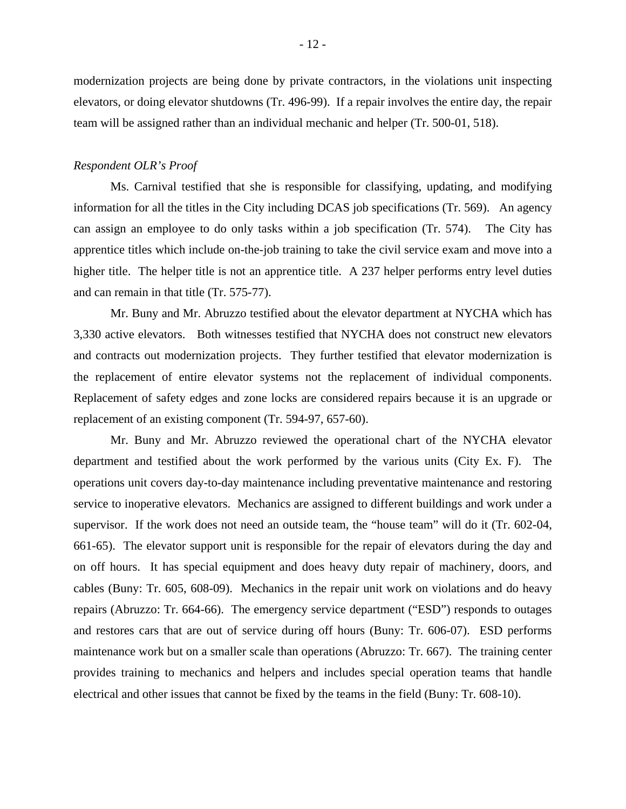modernization projects are being done by private contractors, in the violations unit inspecting elevators, or doing elevator shutdowns (Tr. 496-99). If a repair involves the entire day, the repair team will be assigned rather than an individual mechanic and helper (Tr. 500-01, 518).

#### *Respondent OLR's Proof*

Ms. Carnival testified that she is responsible for classifying, updating, and modifying information for all the titles in the City including DCAS job specifications (Tr. 569). An agency can assign an employee to do only tasks within a job specification (Tr. 574). The City has apprentice titles which include on-the-job training to take the civil service exam and move into a higher title. The helper title is not an apprentice title. A 237 helper performs entry level duties and can remain in that title (Tr. 575-77).

Mr. Buny and Mr. Abruzzo testified about the elevator department at NYCHA which has 3,330 active elevators. Both witnesses testified that NYCHA does not construct new elevators and contracts out modernization projects. They further testified that elevator modernization is the replacement of entire elevator systems not the replacement of individual components. Replacement of safety edges and zone locks are considered repairs because it is an upgrade or replacement of an existing component (Tr. 594-97, 657-60).

Mr. Buny and Mr. Abruzzo reviewed the operational chart of the NYCHA elevator department and testified about the work performed by the various units (City Ex. F). The operations unit covers day-to-day maintenance including preventative maintenance and restoring service to inoperative elevators. Mechanics are assigned to different buildings and work under a supervisor. If the work does not need an outside team, the "house team" will do it (Tr. 602-04, 661-65). The elevator support unit is responsible for the repair of elevators during the day and on off hours. It has special equipment and does heavy duty repair of machinery, doors, and cables (Buny: Tr. 605, 608-09). Mechanics in the repair unit work on violations and do heavy repairs (Abruzzo: Tr. 664-66). The emergency service department ("ESD") responds to outages and restores cars that are out of service during off hours (Buny: Tr. 606-07). ESD performs maintenance work but on a smaller scale than operations (Abruzzo: Tr. 667). The training center provides training to mechanics and helpers and includes special operation teams that handle electrical and other issues that cannot be fixed by the teams in the field (Buny: Tr. 608-10).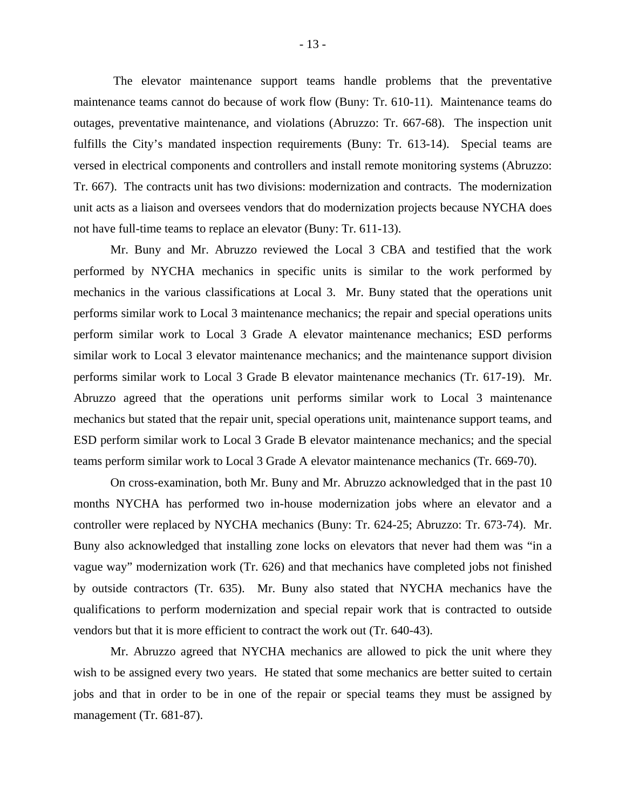The elevator maintenance support teams handle problems that the preventative maintenance teams cannot do because of work flow (Buny: Tr. 610-11). Maintenance teams do outages, preventative maintenance, and violations (Abruzzo: Tr. 667-68). The inspection unit fulfills the City's mandated inspection requirements (Buny: Tr. 613-14). Special teams are versed in electrical components and controllers and install remote monitoring systems (Abruzzo: Tr. 667). The contracts unit has two divisions: modernization and contracts. The modernization unit acts as a liaison and oversees vendors that do modernization projects because NYCHA does not have full-time teams to replace an elevator (Buny: Tr. 611-13).

Mr. Buny and Mr. Abruzzo reviewed the Local 3 CBA and testified that the work performed by NYCHA mechanics in specific units is similar to the work performed by mechanics in the various classifications at Local 3. Mr. Buny stated that the operations unit performs similar work to Local 3 maintenance mechanics; the repair and special operations units perform similar work to Local 3 Grade A elevator maintenance mechanics; ESD performs similar work to Local 3 elevator maintenance mechanics; and the maintenance support division performs similar work to Local 3 Grade B elevator maintenance mechanics (Tr. 617-19). Mr. Abruzzo agreed that the operations unit performs similar work to Local 3 maintenance mechanics but stated that the repair unit, special operations unit, maintenance support teams, and ESD perform similar work to Local 3 Grade B elevator maintenance mechanics; and the special teams perform similar work to Local 3 Grade A elevator maintenance mechanics (Tr. 669-70).

On cross-examination, both Mr. Buny and Mr. Abruzzo acknowledged that in the past 10 months NYCHA has performed two in-house modernization jobs where an elevator and a controller were replaced by NYCHA mechanics (Buny: Tr. 624-25; Abruzzo: Tr. 673-74). Mr. Buny also acknowledged that installing zone locks on elevators that never had them was "in a vague way" modernization work (Tr. 626) and that mechanics have completed jobs not finished by outside contractors (Tr. 635). Mr. Buny also stated that NYCHA mechanics have the qualifications to perform modernization and special repair work that is contracted to outside vendors but that it is more efficient to contract the work out (Tr. 640-43).

Mr. Abruzzo agreed that NYCHA mechanics are allowed to pick the unit where they wish to be assigned every two years. He stated that some mechanics are better suited to certain jobs and that in order to be in one of the repair or special teams they must be assigned by management (Tr. 681-87).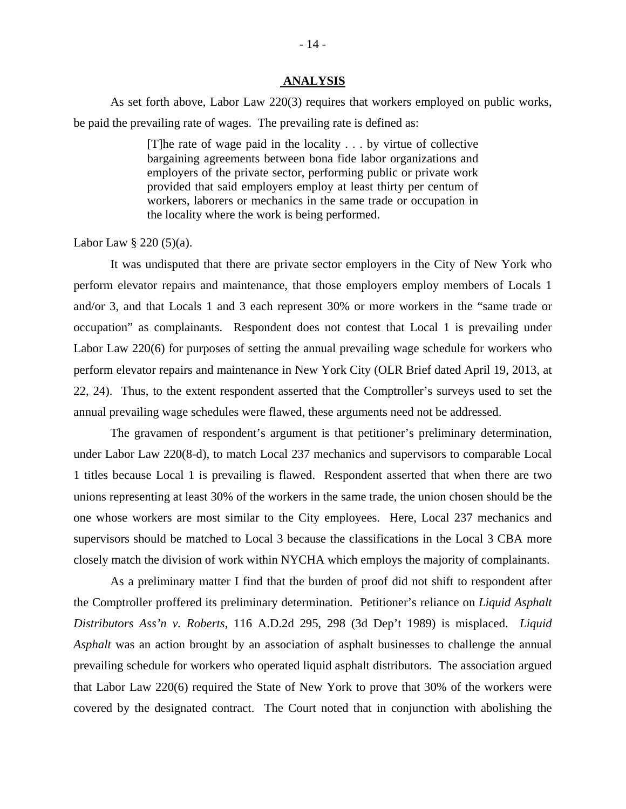#### **ANALYSIS**

As set forth above, Labor Law 220(3) requires that workers employed on public works, be paid the prevailing rate of wages. The prevailing rate is defined as:

> [T]he rate of wage paid in the locality . . . by virtue of collective bargaining agreements between bona fide labor organizations and employers of the private sector, performing public or private work provided that said employers employ at least thirty per centum of workers, laborers or mechanics in the same trade or occupation in the locality where the work is being performed.

Labor Law  $\S 220 (5)(a)$ .

It was undisputed that there are private sector employers in the City of New York who perform elevator repairs and maintenance, that those employers employ members of Locals 1 and/or 3, and that Locals 1 and 3 each represent 30% or more workers in the "same trade or occupation" as complainants. Respondent does not contest that Local 1 is prevailing under Labor Law 220(6) for purposes of setting the annual prevailing wage schedule for workers who perform elevator repairs and maintenance in New York City (OLR Brief dated April 19, 2013, at 22, 24). Thus, to the extent respondent asserted that the Comptroller's surveys used to set the annual prevailing wage schedules were flawed, these arguments need not be addressed.

The gravamen of respondent's argument is that petitioner's preliminary determination, under Labor Law 220(8-d), to match Local 237 mechanics and supervisors to comparable Local 1 titles because Local 1 is prevailing is flawed. Respondent asserted that when there are two unions representing at least 30% of the workers in the same trade, the union chosen should be the one whose workers are most similar to the City employees. Here, Local 237 mechanics and supervisors should be matched to Local 3 because the classifications in the Local 3 CBA more closely match the division of work within NYCHA which employs the majority of complainants.

As a preliminary matter I find that the burden of proof did not shift to respondent after the Comptroller proffered its preliminary determination. Petitioner's reliance on *Liquid Asphalt Distributors Ass'n v. Roberts*, 116 A.D.2d 295, 298 (3d Dep't 1989) is misplaced. *Liquid Asphalt* was an action brought by an association of asphalt businesses to challenge the annual prevailing schedule for workers who operated liquid asphalt distributors. The association argued that Labor Law 220(6) required the State of New York to prove that 30% of the workers were covered by the designated contract. The Court noted that in conjunction with abolishing the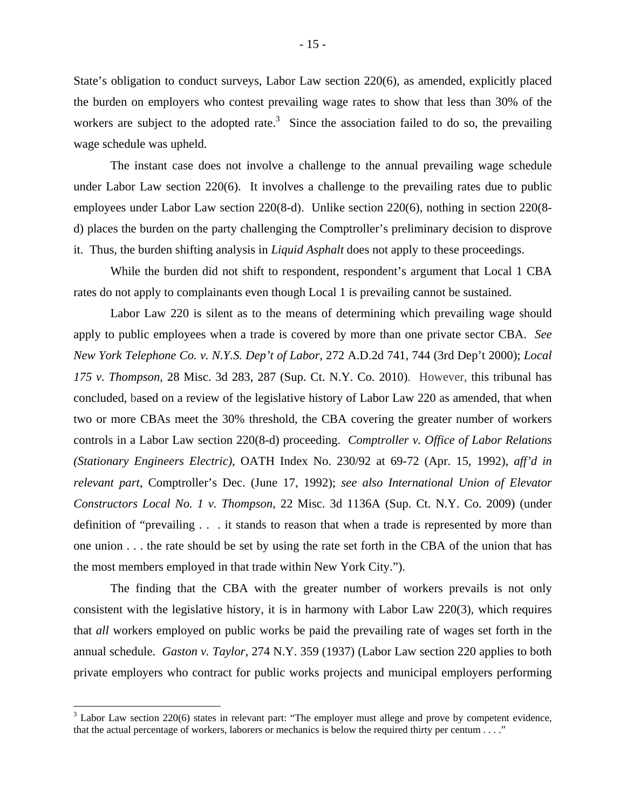State's obligation to conduct surveys, Labor Law section 220(6), as amended, explicitly placed the burden on employers who contest prevailing wage rates to show that less than 30% of the workers are subject to the adopted rate.<sup>3</sup> Since the association failed to do so, the prevailing wage schedule was upheld.

The instant case does not involve a challenge to the annual prevailing wage schedule under Labor Law section 220(6). It involves a challenge to the prevailing rates due to public employees under Labor Law section 220(8-d). Unlike section 220(6), nothing in section 220(8 d) places the burden on the party challenging the Comptroller's preliminary decision to disprove it. Thus, the burden shifting analysis in *Liquid Asphalt* does not apply to these proceedings.

While the burden did not shift to respondent, respondent's argument that Local 1 CBA rates do not apply to complainants even though Local 1 is prevailing cannot be sustained.

Labor Law 220 is silent as to the means of determining which prevailing wage should apply to public employees when a trade is covered by more than one private sector CBA. *See New York Telephone Co. v. N.Y.S. Dep't of Labor*, 272 A.D.2d 741, 744 (3rd Dep't 2000); *Local 175 v. Thompson*, 28 Misc. 3d 283, 287 (Sup. Ct. N.Y. Co. 2010). However, this tribunal has concluded, based on a review of the legislative history of Labor Law 220 as amended, that when two or more CBAs meet the 30% threshold, the CBA covering the greater number of workers controls in a Labor Law section 220(8-d) proceeding. *Comptroller v. Office of Labor Relations (Stationary Engineers Electric)*, OATH Index No. 230/92 at 69-72 (Apr. 15, 1992), *aff'd in relevant part*, Comptroller's Dec. (June 17, 1992); *see also International Union of Elevator Constructors Local No. 1 v. Thompson*, 22 Misc. 3d 1136A (Sup. Ct. N.Y. Co. 2009) (under definition of "prevailing . . . it stands to reason that when a trade is represented by more than one union . . . the rate should be set by using the rate set forth in the CBA of the union that has the most members employed in that trade within New York City.").

The finding that the CBA with the greater number of workers prevails is not only consistent with the legislative history, it is in harmony with Labor Law 220(3), which requires that *all* workers employed on public works be paid the prevailing rate of wages set forth in the annual schedule. *Gaston v. Taylor*, 274 N.Y. 359 (1937) (Labor Law section 220 applies to both private employers who contract for public works projects and municipal employers performing

 $\overline{a}$ 

 $3$  Labor Law section 220(6) states in relevant part: "The employer must allege and prove by competent evidence, that the actual percentage of workers, laborers or mechanics is below the required thirty per centum . . . ."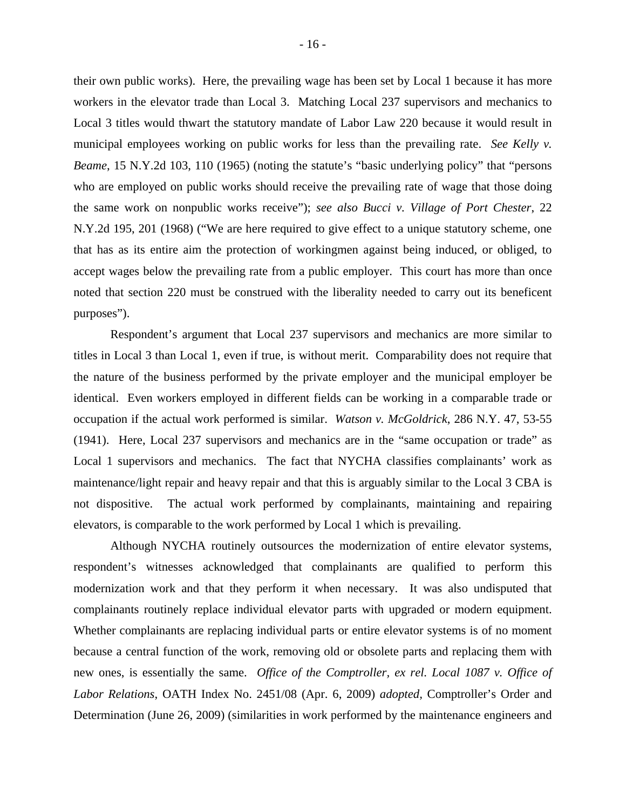their own public works). Here, the prevailing wage has been set by Local 1 because it has more workers in the elevator trade than Local 3. Matching Local 237 supervisors and mechanics to Local 3 titles would thwart the statutory mandate of Labor Law 220 because it would result in municipal employees working on public works for less than the prevailing rate. *See Kelly v. Beame*, 15 N.Y.2d 103, 110 (1965) (noting the statute's "basic underlying policy" that "persons who are employed on public works should receive the prevailing rate of wage that those doing the same work on nonpublic works receive"); *see also Bucci v. Village of Port Chester*, 22 N.Y.2d 195, 201 (1968) ("We are here required to give effect to a unique statutory scheme, one that has as its entire aim the protection of workingmen against being induced, or obliged, to accept wages below the prevailing rate from a public employer. This court has more than once noted that section 220 must be construed with the liberality needed to carry out its beneficent purposes").

Respondent's argument that Local 237 supervisors and mechanics are more similar to titles in Local 3 than Local 1, even if true, is without merit. Comparability does not require that the nature of the business performed by the private employer and the municipal employer be identical. Even workers employed in different fields can be working in a comparable trade or occupation if the actual work performed is similar. *Watson v. McGoldrick*, 286 N.Y. 47, 53-55 (1941). Here, Local 237 supervisors and mechanics are in the "same occupation or trade" as Local 1 supervisors and mechanics. The fact that NYCHA classifies complainants' work as maintenance/light repair and heavy repair and that this is arguably similar to the Local 3 CBA is not dispositive. The actual work performed by complainants, maintaining and repairing elevators, is comparable to the work performed by Local 1 which is prevailing.

Although NYCHA routinely outsources the modernization of entire elevator systems, respondent's witnesses acknowledged that complainants are qualified to perform this modernization work and that they perform it when necessary. It was also undisputed that complainants routinely replace individual elevator parts with upgraded or modern equipment. Whether complainants are replacing individual parts or entire elevator systems is of no moment because a central function of the work, removing old or obsolete parts and replacing them with new ones, is essentially the same. *Office of the Comptroller, ex rel. Local 1087 v. Office of Labor Relations*, OATH Index No. 2451/08 (Apr. 6, 2009) *adopted,* Comptroller's Order and Determination (June 26, 2009) (similarities in work performed by the maintenance engineers and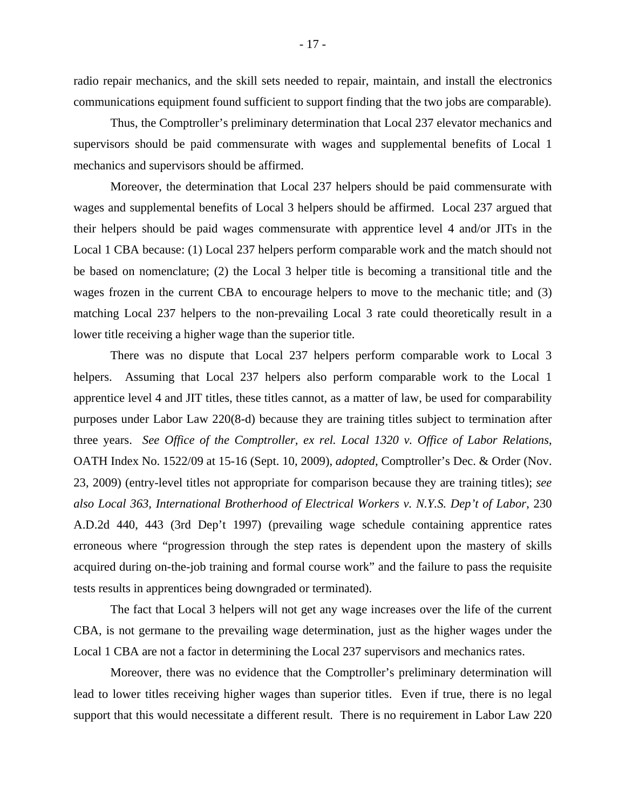radio repair mechanics, and the skill sets needed to repair, maintain, and install the electronics communications equipment found sufficient to support finding that the two jobs are comparable).

Thus, the Comptroller's preliminary determination that Local 237 elevator mechanics and supervisors should be paid commensurate with wages and supplemental benefits of Local 1 mechanics and supervisors should be affirmed.

Moreover, the determination that Local 237 helpers should be paid commensurate with wages and supplemental benefits of Local 3 helpers should be affirmed. Local 237 argued that their helpers should be paid wages commensurate with apprentice level 4 and/or JITs in the Local 1 CBA because: (1) Local 237 helpers perform comparable work and the match should not be based on nomenclature; (2) the Local 3 helper title is becoming a transitional title and the wages frozen in the current CBA to encourage helpers to move to the mechanic title; and (3) matching Local 237 helpers to the non-prevailing Local 3 rate could theoretically result in a lower title receiving a higher wage than the superior title.

There was no dispute that Local 237 helpers perform comparable work to Local 3 helpers. Assuming that Local 237 helpers also perform comparable work to the Local 1 apprentice level 4 and JIT titles, these titles cannot, as a matter of law, be used for comparability purposes under Labor Law 220(8-d) because they are training titles subject to termination after three years. *See Office of the Comptroller, ex rel. Local 1320 v. Office of Labor Relations*, OATH Index No. 1522/09 at 15-16 (Sept. 10, 2009), *adopted*, Comptroller's Dec. & Order (Nov. 23, 2009) (entry-level titles not appropriate for comparison because they are training titles); *see also Local 363, International Brotherhood of Electrical Workers v. N.Y.S. Dep't of Labor*, 230 A.D.2d 440, 443 (3rd Dep't 1997) (prevailing wage schedule containing apprentice rates erroneous where "progression through the step rates is dependent upon the mastery of skills acquired during on-the-job training and formal course work" and the failure to pass the requisite tests results in apprentices being downgraded or terminated).

The fact that Local 3 helpers will not get any wage increases over the life of the current CBA, is not germane to the prevailing wage determination, just as the higher wages under the Local 1 CBA are not a factor in determining the Local 237 supervisors and mechanics rates.

Moreover, there was no evidence that the Comptroller's preliminary determination will lead to lower titles receiving higher wages than superior titles. Even if true, there is no legal support that this would necessitate a different result. There is no requirement in Labor Law 220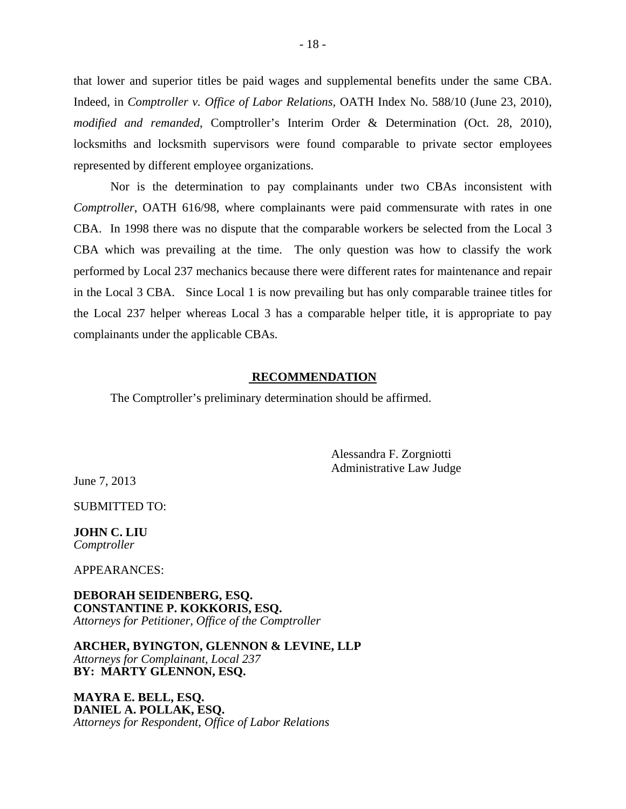that lower and superior titles be paid wages and supplemental benefits under the same CBA. Indeed, in *Comptroller v. Office of Labor Relations,* OATH Index No. 588/10 (June 23, 2010), *modified and remanded*, Comptroller's Interim Order & Determination (Oct. 28, 2010), locksmiths and locksmith supervisors were found comparable to private sector employees represented by different employee organizations.

Nor is the determination to pay complainants under two CBAs inconsistent with *Comptroller*, OATH 616/98, where complainants were paid commensurate with rates in one CBA. In 1998 there was no dispute that the comparable workers be selected from the Local 3 CBA which was prevailing at the time. The only question was how to classify the work performed by Local 237 mechanics because there were different rates for maintenance and repair in the Local 3 CBA. Since Local 1 is now prevailing but has only comparable trainee titles for the Local 237 helper whereas Local 3 has a comparable helper title, it is appropriate to pay complainants under the applicable CBAs.

#### **RECOMMENDATION**

The Comptroller's preliminary determination should be affirmed.

Alessandra F. Zorgniotti Administrative Law Judge

June 7, 2013

SUBMITTED TO:

**JOHN C. LIU**  *Comptroller* 

APPEARANCES:

**DEBORAH SEIDENBERG, ESQ. CONSTANTINE P. KOKKORIS, ESQ.**  *Attorneys for Petitioner, Office of the Comptroller*

**ARCHER, BYINGTON, GLENNON & LEVINE, LLP**  *Attorneys for Complainant, Local 237* **BY: MARTY GLENNON, ESQ.** 

**MAYRA E. BELL, ESQ. DANIEL A. POLLAK, ESQ.**  *Attorneys for Respondent, Office of Labor Relations*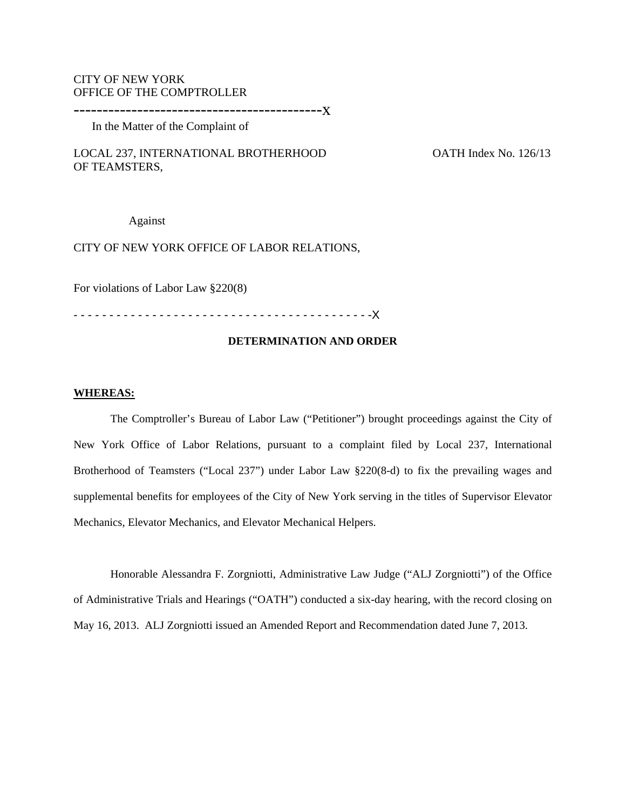## CITY OF NEW YORK OFFICE OF THE COMPTROLLER

-------------------------------------------x

In the Matter of the Complaint of

LOCAL 237, INTERNATIONAL BROTHERHOOD OATH Index No. 126/13 OF TEAMSTERS,

Against

#### CITY OF NEW YORK OFFICE OF LABOR RELATIONS,

For violations of Labor Law §220(8)

- - - - - - - - - - - - - - - - - - - - - - - - - - - - - - - - - - - - - - - - - -X

#### **DETERMINATION AND ORDER**

#### **WHEREAS:**

The Comptroller's Bureau of Labor Law ("Petitioner") brought proceedings against the City of New York Office of Labor Relations, pursuant to a complaint filed by Local 237, International Brotherhood of Teamsters ("Local 237") under Labor Law §220(8-d) to fix the prevailing wages and supplemental benefits for employees of the City of New York serving in the titles of Supervisor Elevator Mechanics, Elevator Mechanics, and Elevator Mechanical Helpers.

Honorable Alessandra F. Zorgniotti, Administrative Law Judge ("ALJ Zorgniotti") of the Office of Administrative Trials and Hearings ("OATH") conducted a six-day hearing, with the record closing on May 16, 2013. ALJ Zorgniotti issued an Amended Report and Recommendation dated June 7, 2013.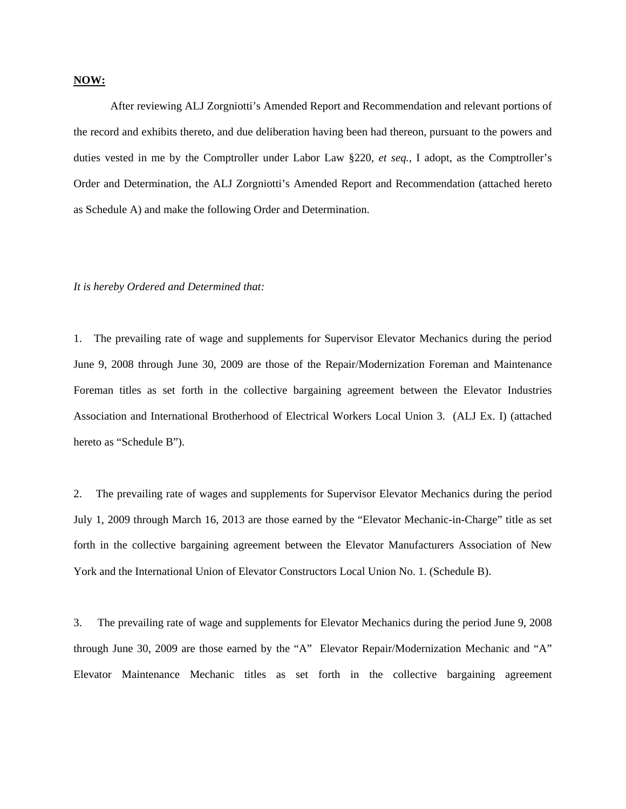#### **NOW:**

After reviewing ALJ Zorgniotti's Amended Report and Recommendation and relevant portions of the record and exhibits thereto, and due deliberation having been had thereon, pursuant to the powers and duties vested in me by the Comptroller under Labor Law §220, *et seq.,* I adopt, as the Comptroller's Order and Determination, the ALJ Zorgniotti's Amended Report and Recommendation (attached hereto as Schedule A) and make the following Order and Determination.

#### *It is hereby Ordered and Determined that:*

1. The prevailing rate of wage and supplements for Supervisor Elevator Mechanics during the period June 9, 2008 through June 30, 2009 are those of the Repair/Modernization Foreman and Maintenance Foreman titles as set forth in the collective bargaining agreement between the Elevator Industries Association and International Brotherhood of Electrical Workers Local Union 3. (ALJ Ex. I) (attached hereto as "Schedule B").

2. The prevailing rate of wages and supplements for Supervisor Elevator Mechanics during the period July 1, 2009 through March 16, 2013 are those earned by the "Elevator Mechanic-in-Charge" title as set forth in the collective bargaining agreement between the Elevator Manufacturers Association of New York and the International Union of Elevator Constructors Local Union No. 1. (Schedule B).

3. The prevailing rate of wage and supplements for Elevator Mechanics during the period June 9, 2008 through June 30, 2009 are those earned by the "A"Elevator Repair/Modernization Mechanic and "A" Elevator Maintenance Mechanic titles as set forth in the collective bargaining agreement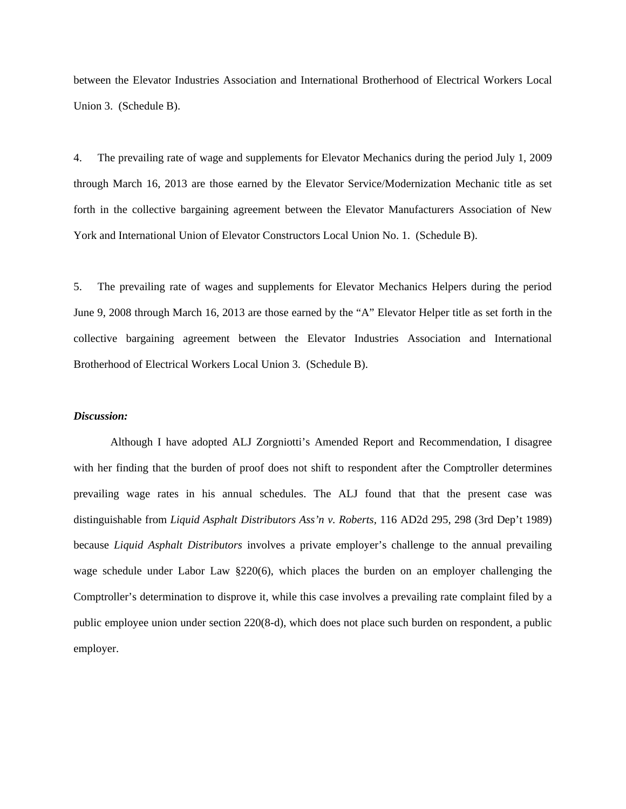between the Elevator Industries Association and International Brotherhood of Electrical Workers Local Union 3. (Schedule B).

4. The prevailing rate of wage and supplements for Elevator Mechanics during the period July 1, 2009 through March 16, 2013 are those earned by the Elevator Service/Modernization Mechanic title as set forth in the collective bargaining agreement between the Elevator Manufacturers Association of New York and International Union of Elevator Constructors Local Union No. 1. (Schedule B).

5. The prevailing rate of wages and supplements for Elevator Mechanics Helpers during the period June 9, 2008 through March 16, 2013 are those earned by the "A" Elevator Helper title as set forth in the collective bargaining agreement between the Elevator Industries Association and International Brotherhood of Electrical Workers Local Union 3. (Schedule B).

#### *Discussion:*

Although I have adopted ALJ Zorgniotti's Amended Report and Recommendation, I disagree with her finding that the burden of proof does not shift to respondent after the Comptroller determines prevailing wage rates in his annual schedules. The ALJ found that that the present case was distinguishable from *Liquid Asphalt Distributors Ass'n v. Roberts,* 116 AD2d 295, 298 (3rd Dep't 1989) because *Liquid Asphalt Distributors* involves a private employer's challenge to the annual prevailing wage schedule under Labor Law §220(6), which places the burden on an employer challenging the Comptroller's determination to disprove it, while this case involves a prevailing rate complaint filed by a public employee union under section 220(8-d), which does not place such burden on respondent, a public employer.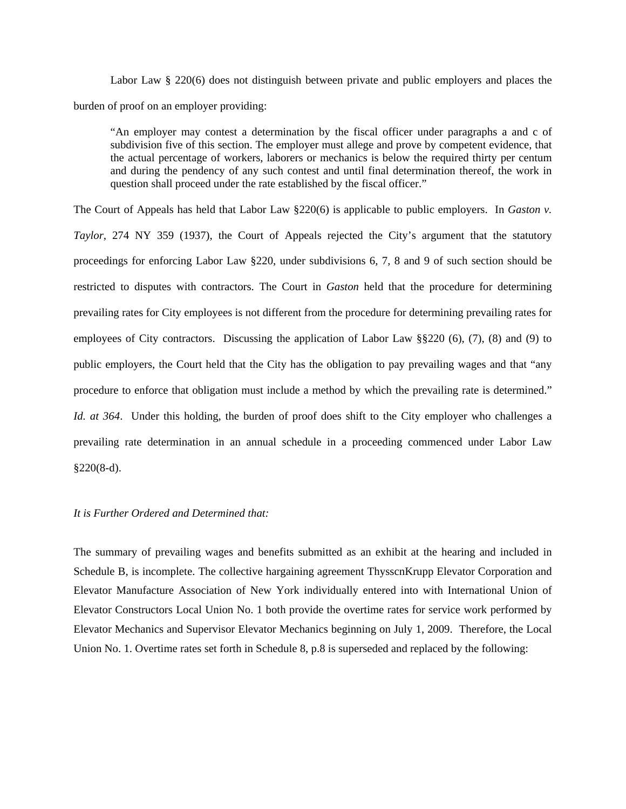Labor Law § 220(6) does not distinguish between private and public employers and places the burden of proof on an employer providing:

"An employer may contest a determination by the fiscal officer under paragraphs a and c of subdivision five of this section. The employer must allege and prove by competent evidence, that the actual percentage of workers, laborers or mechanics is below the required thirty per centum and during the pendency of any such contest and until final determination thereof, the work in question shall proceed under the rate established by the fiscal officer."

The Court of Appeals has held that Labor Law §220(6) is applicable to public employers. In *Gaston v. Taylor,* 274 NY 359 (1937), the Court of Appeals rejected the City's argument that the statutory proceedings for enforcing Labor Law §220, under subdivisions 6, 7, 8 and 9 of such section should be restricted to disputes with contractors. The Court in *Gaston* held that the procedure for determining prevailing rates for City employees is not different from the procedure for determining prevailing rates for employees of City contractors. Discussing the application of Labor Law §§220 (6), (7), (8) and (9) to public employers, the Court held that the City has the obligation to pay prevailing wages and that "any procedure to enforce that obligation must include a method by which the prevailing rate is determined." *Id. at 364*. Under this holding, the burden of proof does shift to the City employer who challenges a prevailing rate determination in an annual schedule in a proceeding commenced under Labor Law §220(8-d).

#### *It is Further Ordered and Determined that:*

The summary of prevailing wages and benefits submitted as an exhibit at the hearing and included in Schedule B, is incomplete. The collective hargaining agreement ThysscnKrupp Elevator Corporation and Elevator Manufacture Association of New York individually entered into with International Union of Elevator Constructors Local Union No. 1 both provide the overtime rates for service work performed by Elevator Mechanics and Supervisor Elevator Mechanics beginning on July 1, 2009. Therefore, the Local Union No. 1. Overtime rates set forth in Schedule 8, p.8 is superseded and replaced by the following: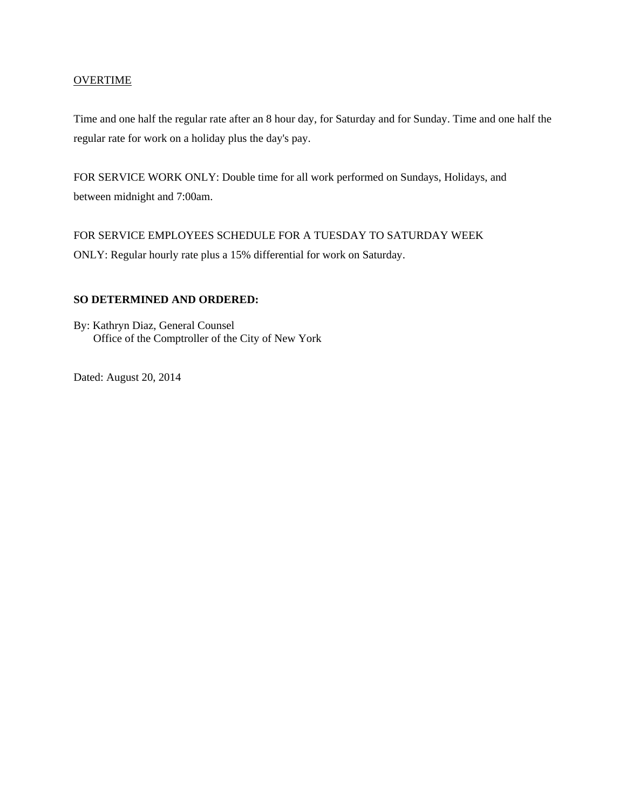#### **OVERTIME**

Time and one half the regular rate after an 8 hour day, for Saturday and for Sunday. Time and one half the regular rate for work on a holiday plus the day's pay.

FOR SERVICE WORK ONLY: Double time for all work performed on Sundays, Holidays, and between midnight and 7:00am.

FOR SERVICE EMPLOYEES SCHEDULE FOR A TUESDAY TO SATURDAY WEEK ONLY: Regular hourly rate plus a 15% differential for work on Saturday.

### **SO DETERMINED AND ORDERED:**

By: Kathryn Diaz, General Counsel Office of the Comptroller of the City of New York

Dated: August 20, 2014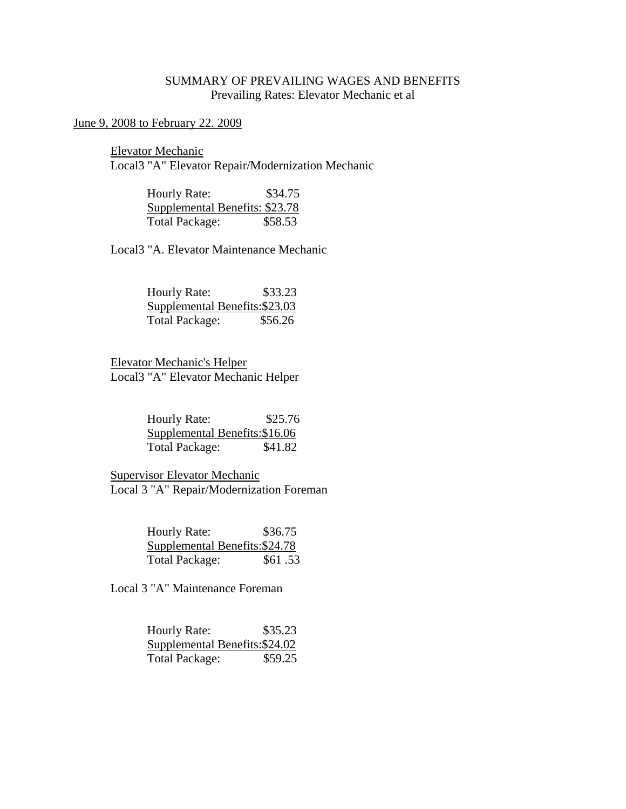# SUMMARY OF PREVAILING WAGES AND BENEFITS Prevailing Rates: Elevator Mechanic et al

# June 9, 2008 to February 22. 2009

 Elevator Mechanic Local3 "A" Elevator Repair/Modernization Mechanic

> Hourly Rate: \$34.75 Supplemental Benefits: \$23.78 Total Package: \$58.53

Local3 "A. Elevator Maintenance Mechanic

| Hourly Rate:                   | \$33.23 |
|--------------------------------|---------|
| Supplemental Benefits: \$23.03 |         |
| <b>Total Package:</b>          | \$56.26 |

 Elevator Mechanic's Helper Local3 "A" Elevator Mechanic Helper

| Hourly Rate:                   | \$25.76 |
|--------------------------------|---------|
| Supplemental Benefits: \$16.06 |         |
| <b>Total Package:</b>          | \$41.82 |

 Supervisor Elevator Mechanic Local 3 "A" Repair/Modernization Foreman

| Hourly Rate:                   | \$36.75 |
|--------------------------------|---------|
| Supplemental Benefits: \$24.78 |         |
| <b>Total Package:</b>          | \$61.53 |

Local 3 "A" Maintenance Foreman

| <b>Hourly Rate:</b>   | \$35.23                        |
|-----------------------|--------------------------------|
|                       | Supplemental Benefits: \$24.02 |
| <b>Total Package:</b> | \$59.25                        |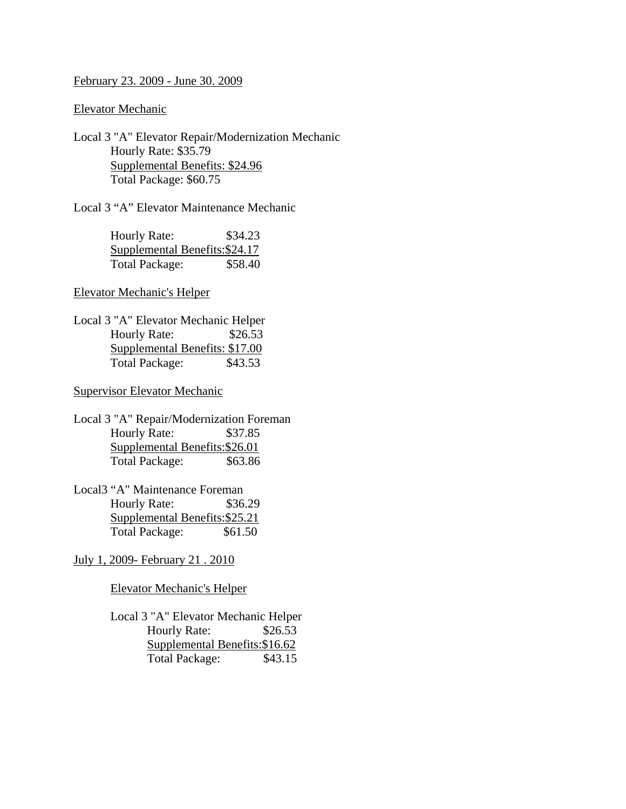#### February 23. 2009 - June 30. 2009

Elevator Mechanic

Local 3 "A" Elevator Repair/Modernization Mechanic Hourly Rate: \$35.79 Supplemental Benefits: \$24.96 Total Package: \$60.75

Local 3 "A" Elevator Maintenance Mechanic

| Hourly Rate:                   | \$34.23 |
|--------------------------------|---------|
| Supplemental Benefits: \$24.17 |         |
| <b>Total Package:</b>          | \$58.40 |

## Elevator Mechanic's Helper

Local 3 "A" Elevator Mechanic Helper Hourly Rate: \$26.53 Supplemental Benefits: \$17.00 Total Package: \$43.53

### Supervisor Elevator Mechanic

- Local 3 "A" Repair/Modernization Foreman Hourly Rate: \$37.85 Supplemental Benefits:\$26.01 Total Package: \$63.86
- Local3 "A" Maintenance Foreman Hourly Rate: \$36.29 Supplemental Benefits:\$25.21 Total Package: \$61.50

# July 1, 2009- February 21 . 2010

Elevator Mechanic's Helper

 Local 3 "A" Elevator Mechanic Helper Hourly Rate: \$26.53 Supplemental Benefits:\$16.62 Total Package: \$43.15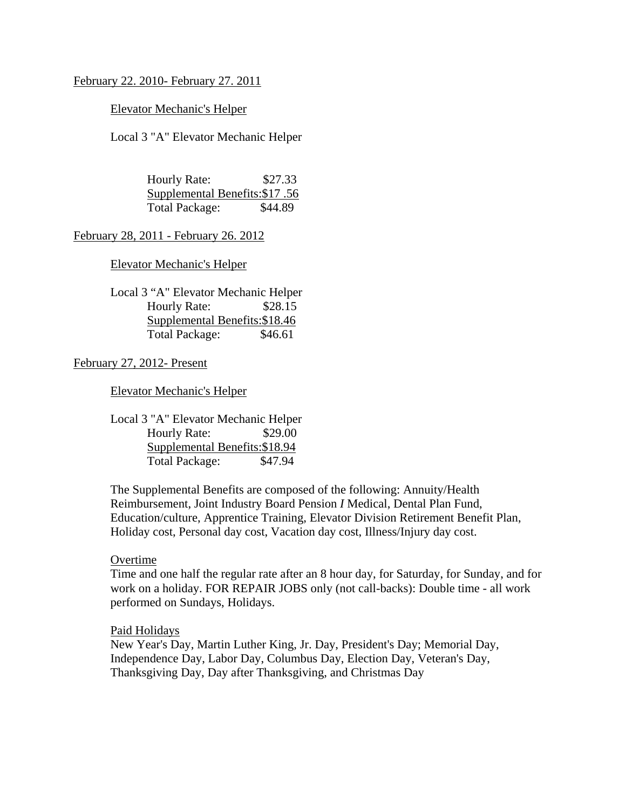### February 22. 2010- February 27. 2011

### Elevator Mechanic's Helper

Local 3 "A" Elevator Mechanic Helper

 Hourly Rate: \$27.33 Supplemental Benefits:\$17 .56 Total Package: \$44.89

February 28, 2011 - February 26. 2012

Elevator Mechanic's Helper

 Local 3 "A" Elevator Mechanic Helper Hourly Rate: \$28.15 Supplemental Benefits:\$18.46 Total Package: \$46.61

## February 27, 2012- Present

Elevator Mechanic's Helper

 Local 3 "A" Elevator Mechanic Helper Hourly Rate: \$29.00 Supplemental Benefits:\$18.94 Total Package: \$47.94

 The Supplemental Benefits are composed of the following: Annuity/Health Reimbursement, Joint Industry Board Pension *I* Medical, Dental Plan Fund, Education/culture, Apprentice Training, Elevator Division Retirement Benefit Plan, Holiday cost, Personal day cost, Vacation day cost, Illness/Injury day cost.

#### Overtime

 Time and one half the regular rate after an 8 hour day, for Saturday, for Sunday, and for work on a holiday. FOR REPAIR JOBS only (not call-backs): Double time - all work performed on Sundays, Holidays.

#### Paid Holidays

 New Year's Day, Martin Luther King, Jr. Day, President's Day; Memorial Day, Independence Day, Labor Day, Columbus Day, Election Day, Veteran's Day, Thanksgiving Day, Day after Thanksgiving, and Christmas Day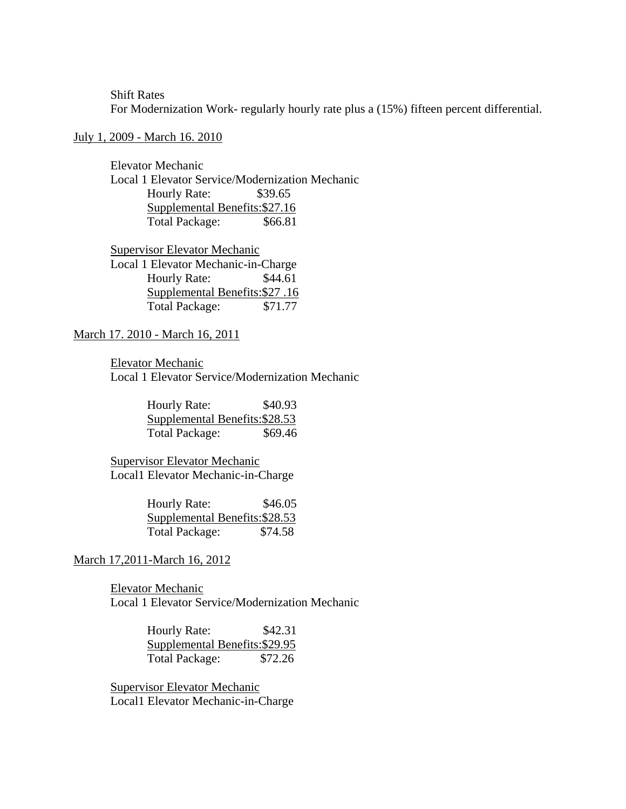Shift Rates For Modernization Work- regularly hourly rate plus a (15%) fifteen percent differential.

#### July 1, 2009 - March 16. 2010

 Elevator Mechanic Local 1 Elevator Service/Modernization Mechanic Hourly Rate: \$39.65 Supplemental Benefits:\$27.16 Total Package: \$66.81

 Supervisor Elevator Mechanic Local 1 Elevator Mechanic-in-Charge Hourly Rate: \$44.61 Supplemental Benefits:\$27 .16 Total Package: \$71.77

## March 17. 2010 - March 16, 2011

Elevator Mechanic

Local 1 Elevator Service/Modernization Mechanic

 Hourly Rate: \$40.93 Supplemental Benefits:\$28.53 Total Package: \$69.46

 Supervisor Elevator Mechanic Local1 Elevator Mechanic-in-Charge

> Hourly Rate: \$46.05 Supplemental Benefits:\$28.53 Total Package: \$74.58

#### March 17,2011-March 16, 2012

 Elevator Mechanic Local 1 Elevator Service/Modernization Mechanic

> Hourly Rate: \$42.31 Supplemental Benefits:\$29.95 Total Package: \$72.26

 Supervisor Elevator Mechanic Local1 Elevator Mechanic-in-Charge